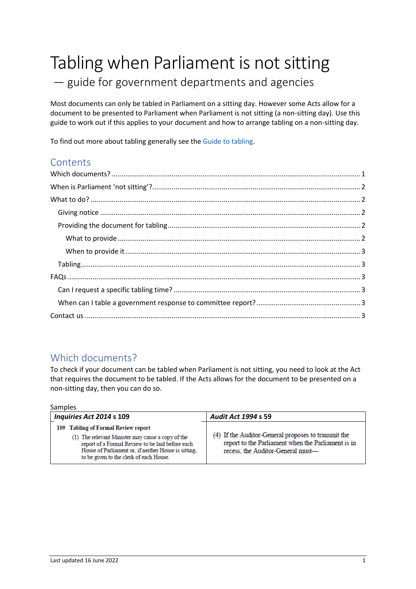# Tabling when Parliament is not sitting

## — guide for government departments and agencies

Most documents can only be tabled in Parliament on a sitting day. However some Acts allow for a document to be presented to Parliament when Parliament is not sitting (a non-sitting day). Use this guide to work out if this applies to your document and how to arrange tabling on a non-sitting day.

To find out more about tabling generally see th[e Guide to tabling.](https://new.parliament.vic.gov.au/globalassets/sections-shared/parliamentary-activity/guides-for-departments/guide-to-tabling.pdf)

## **Contents**

## <span id="page-0-0"></span>Which documents?

To check if your document can be tabled when Parliament is not sitting, you need to look at the Act that requires the document to be tabled. If the Acts allows for the document to be presented on a non-sitting day, then you can do so.

Samples

| Inquiries Act 2014 s 109                                                                                                                                                                                                                        | <b>Audit Act 1994 s 59</b>                                                                                                                     |
|-------------------------------------------------------------------------------------------------------------------------------------------------------------------------------------------------------------------------------------------------|------------------------------------------------------------------------------------------------------------------------------------------------|
| 109 Tabling of Formal Review report<br>(1) The relevant Minister may cause a copy of the<br>report of a Formal Review to be laid before each<br>House of Parliament or, if neither House is sitting.<br>to be given to the clerk of each House. | (4) If the Auditor-General proposes to transmit the<br>report to the Parliament when the Parliament is in<br>recess, the Auditor-General must- |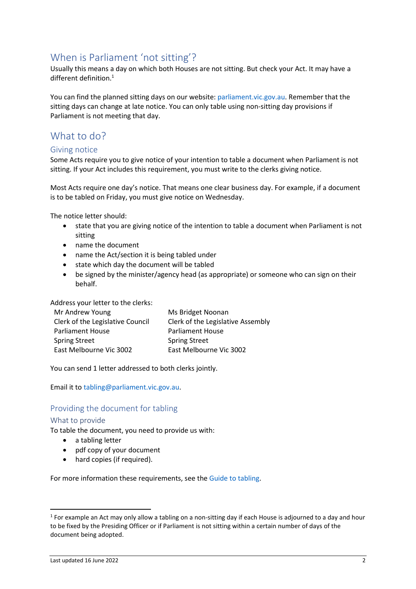## <span id="page-1-0"></span>When is Parliament 'not sitting'?

Usually this means a day on which both Houses are not sitting. But check your Act. It may have a different definition. 1

You can find the planned sitting days on our website: [parliament.vic.gov.au.](https://new.parliament.vic.gov.au/globalassets/sections-shared/parliamentary-activity/2022_sitting_dates_a4_calendar-2.pdf) Remember that the sitting days can change at late notice. You can only table using non-sitting day provisions if Parliament is not meeting that day.

## <span id="page-1-1"></span>What to do?

#### <span id="page-1-2"></span>Giving notice

Some Acts require you to give notice of your intention to table a document when Parliament is not sitting. If your Act includes this requirement, you must write to the clerks giving notice.

Most Acts require one day's notice. That means one clear business day. For example, if a document is to be tabled on Friday, you must give notice on Wednesday.

The notice letter should:

- state that you are giving notice of the intention to table a document when Parliament is not sitting
- name the document
- name the Act/section it is being tabled under
- state which day the document will be tabled
- be signed by the minister/agency head (as appropriate) or someone who can sign on their behalf.

Address your letter to the clerks:

| Ms Bridget Noonan                 |
|-----------------------------------|
| Clerk of the Legislative Assembly |
| <b>Parliament House</b>           |
| <b>Spring Street</b>              |
| East Melbourne Vic 3002           |
|                                   |

You can send 1 letter addressed to both clerks jointly.

Email it t[o tabling@parliament.vic.gov.au.](mailto:tabling@parliament.vic.gov.au)

#### <span id="page-1-3"></span>Providing the document for tabling

#### <span id="page-1-4"></span>What to provide

To table the document, you need to provide us with:

- a tabling letter
- pdf copy of your document
- hard copies (if required).

For more information these requirements, see th[e Guide to tabling.](https://new.parliament.vic.gov.au/globalassets/sections-shared/parliamentary-activity/guides-for-departments/guide-to-tabling.pdf)

 $<sup>1</sup>$  For example an Act may only allow a tabling on a non-sitting day if each House is adjourned to a day and hour</sup> to be fixed by the Presiding Officer or if Parliament is not sitting within a certain number of days of the document being adopted.